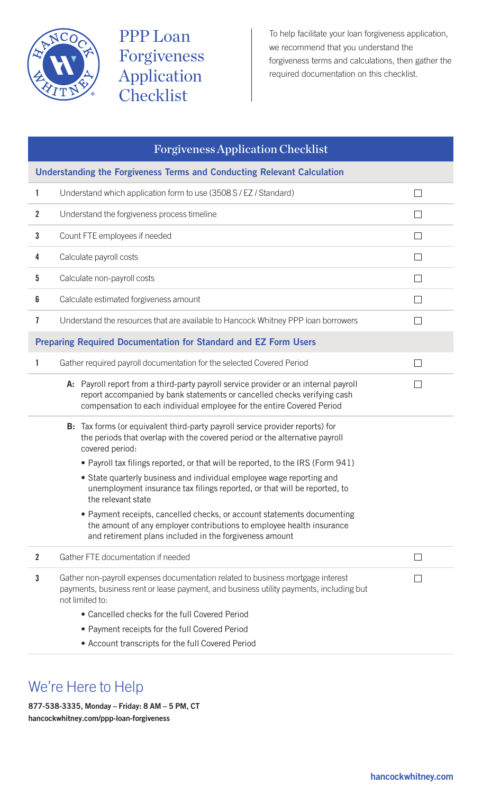

PPP Loan Forgiveness Application **Checklist** 

To help facilitate your loan forgiveness application, we recommend that you understand the forgiveness terms and calculations, then gather the required documentation on this checklist.

| <b>Forgiveness Application Checklist</b>                                |                                                                                                                                                                                                                                            |              |
|-------------------------------------------------------------------------|--------------------------------------------------------------------------------------------------------------------------------------------------------------------------------------------------------------------------------------------|--------------|
| Understanding the Forgiveness Terms and Conducting Relevant Calculation |                                                                                                                                                                                                                                            |              |
| 1                                                                       | Understand which application form to use (3508 S / EZ / Standard)                                                                                                                                                                          | $\Box$       |
| $\overline{2}$                                                          | Understand the forgiveness process timeline                                                                                                                                                                                                | $\Box$       |
| 3                                                                       | Count FTE employees if needed                                                                                                                                                                                                              | $\Box$       |
| 4                                                                       | Calculate payroll costs                                                                                                                                                                                                                    | $\mathbf{I}$ |
| 5                                                                       | Calculate non-payroll costs                                                                                                                                                                                                                | $\Box$       |
| 6                                                                       | Calculate estimated forgiveness amount                                                                                                                                                                                                     | П            |
| $\overline{\mathbf{I}}$                                                 | Understand the resources that are available to Hancock Whitney PPP loan borrowers                                                                                                                                                          | $\Box$       |
| <b>Preparing Required Documentation for Standard and EZ Form Users</b>  |                                                                                                                                                                                                                                            |              |
| 1                                                                       | Gather required payroll documentation for the selected Covered Period                                                                                                                                                                      | $\Box$       |
|                                                                         | A: Payroll report from a third-party payroll service provider or an internal payroll<br>report accompanied by bank statements or cancelled checks verifying cash<br>compensation to each individual employee for the entire Covered Period |              |
|                                                                         | B: Tax forms (or equivalent third-party payroll service provider reports) for<br>the periods that overlap with the covered period or the alternative payroll<br>covered period:                                                            |              |
|                                                                         | • Payroll tax filings reported, or that will be reported, to the IRS (Form 941)<br>• State quarterly business and individual employee wage reporting and                                                                                   |              |
|                                                                         | unemployment insurance tax filings reported, or that will be reported, to<br>the relevant state                                                                                                                                            |              |
|                                                                         | • Payment receipts, cancelled checks, or account statements documenting<br>the amount of any employer contributions to employee health insurance<br>and retirement plans included in the forgiveness amount                                |              |
| $\overline{\mathbf{2}}$                                                 | Gather FTE documentation if needed                                                                                                                                                                                                         | $\mathsf{L}$ |
| 3                                                                       | Gather non-payroll expenses documentation related to business mortgage interest<br>payments, business rent or lease payment, and business utility payments, including but<br>not limited to:                                               |              |
|                                                                         | • Cancelled checks for the full Covered Period                                                                                                                                                                                             |              |
|                                                                         | • Payment receipts for the full Covered Period                                                                                                                                                                                             |              |
|                                                                         | • Account transcripts for the full Covered Period                                                                                                                                                                                          |              |

## We're Here to Help

877-538-3335, Monday – Friday: 8 AM – 5 PM, CT hancockwhitney.com/ppp-loan-forgiveness